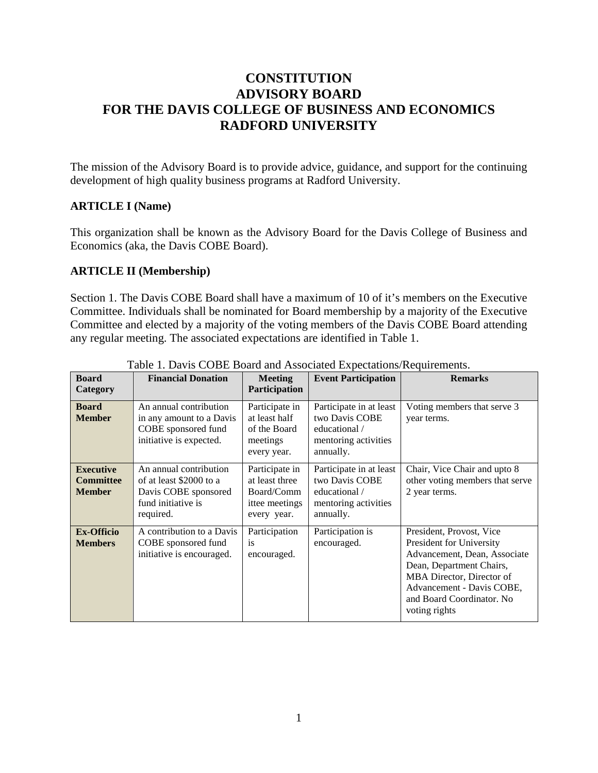# **CONSTITUTION ADVISORY BOARD FOR THE DAVIS COLLEGE OF BUSINESS AND ECONOMICS RADFORD UNIVERSITY**

The mission of the Advisory Board is to provide advice, guidance, and support for the continuing development of high quality business programs at Radford University.

#### **ARTICLE I (Name)**

This organization shall be known as the Advisory Board for the Davis College of Business and Economics (aka, the Davis COBE Board).

#### **ARTICLE II (Membership)**

Section 1. The Davis COBE Board shall have a maximum of 10 of it's members on the Executive Committee. Individuals shall be nominated for Board membership by a majority of the Executive Committee and elected by a majority of the voting members of the Davis COBE Board attending any regular meeting. The associated expectations are identified in Table 1.

| <b>Board</b><br>Category                              | <b>Financial Donation</b>                                                                                    | <b>Meeting</b><br>Participation                                                 | <b>Event Participation</b>                                                                      | <b>Remarks</b>                                                                                                                                                                                                           |
|-------------------------------------------------------|--------------------------------------------------------------------------------------------------------------|---------------------------------------------------------------------------------|-------------------------------------------------------------------------------------------------|--------------------------------------------------------------------------------------------------------------------------------------------------------------------------------------------------------------------------|
| <b>Board</b><br><b>Member</b>                         | An annual contribution<br>in any amount to a Davis<br>COBE sponsored fund<br>initiative is expected.         | Participate in<br>at least half<br>of the Board<br>meetings<br>every year.      | Participate in at least<br>two Davis COBE<br>educational /<br>mentoring activities<br>annually. | Voting members that serve 3<br>year terms.                                                                                                                                                                               |
| <b>Executive</b><br><b>Committee</b><br><b>Member</b> | An annual contribution<br>of at least \$2000 to a<br>Davis COBE sponsored<br>fund initiative is<br>required. | Participate in<br>at least three<br>Board/Comm<br>ittee meetings<br>every year. | Participate in at least<br>two Davis COBE<br>educational /<br>mentoring activities<br>annually. | Chair, Vice Chair and upto 8<br>other voting members that serve<br>2 year terms.                                                                                                                                         |
| <b>Ex-Officio</b><br><b>Members</b>                   | A contribution to a Davis<br>COBE sponsored fund<br>initiative is encouraged.                                | Participation<br>1S<br>encouraged.                                              | Participation is<br>encouraged.                                                                 | President, Provost, Vice<br>President for University<br>Advancement, Dean, Associate<br>Dean, Department Chairs,<br>MBA Director, Director of<br>Advancement - Davis COBE,<br>and Board Coordinator. No<br>voting rights |

Table 1. Davis COBE Board and Associated Expectations/Requirements.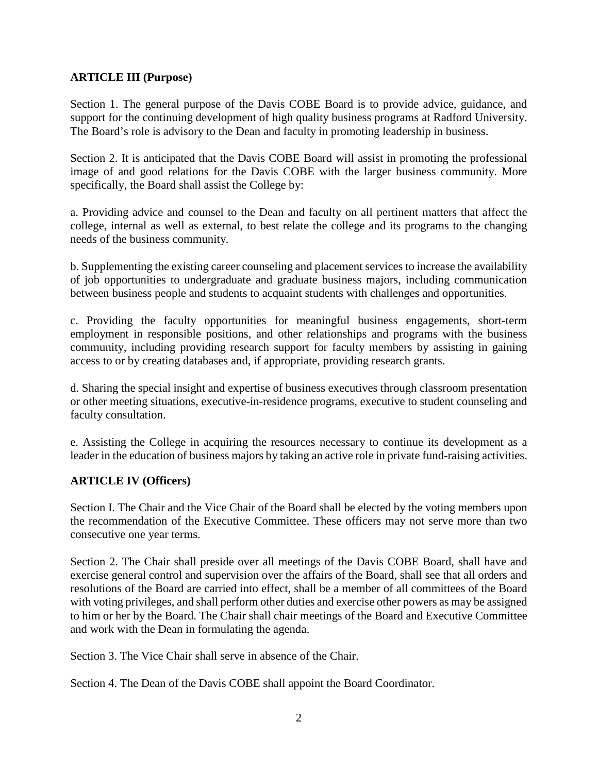## **ARTICLE III (Purpose)**

Section 1. The general purpose of the Davis COBE Board is to provide advice, guidance, and support for the continuing development of high quality business programs at Radford University. The Board's role is advisory to the Dean and faculty in promoting leadership in business.

Section 2. It is anticipated that the Davis COBE Board will assist in promoting the professional image of and good relations for the Davis COBE with the larger business community. More specifically, the Board shall assist the College by:

a. Providing advice and counsel to the Dean and faculty on all pertinent matters that affect the college, internal as well as external, to best relate the college and its programs to the changing needs of the business community.

b. Supplementing the existing career counseling and placement services to increase the availability of job opportunities to undergraduate and graduate business majors, including communication between business people and students to acquaint students with challenges and opportunities.

c. Providing the faculty opportunities for meaningful business engagements, short-term employment in responsible positions, and other relationships and programs with the business community, including providing research support for faculty members by assisting in gaining access to or by creating databases and, if appropriate, providing research grants.

d. Sharing the special insight and expertise of business executives through classroom presentation or other meeting situations, executive-in-residence programs, executive to student counseling and faculty consultation.

e. Assisting the College in acquiring the resources necessary to continue its development as a leader in the education of business majors by taking an active role in private fund-raising activities.

## **ARTICLE IV (Officers)**

Section I. The Chair and the Vice Chair of the Board shall be elected by the voting members upon the recommendation of the Executive Committee. These officers may not serve more than two consecutive one year terms.

Section 2. The Chair shall preside over all meetings of the Davis COBE Board, shall have and exercise general control and supervision over the affairs of the Board, shall see that all orders and resolutions of the Board are carried into effect, shall be a member of all committees of the Board with voting privileges, and shall perform other duties and exercise other powers as may be assigned to him or her by the Board. The Chair shall chair meetings of the Board and Executive Committee and work with the Dean in formulating the agenda.

Section 3. The Vice Chair shall serve in absence of the Chair.

Section 4. The Dean of the Davis COBE shall appoint the Board Coordinator.